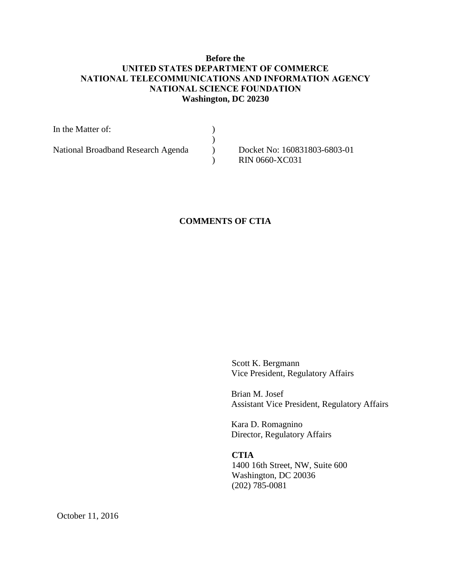# **Before the UNITED STATES DEPARTMENT OF COMMERCE NATIONAL TELECOMMUNICATIONS AND INFORMATION AGENCY NATIONAL SCIENCE FOUNDATION Washington, DC 20230**

| In the Matter of:                  |                              |
|------------------------------------|------------------------------|
|                                    |                              |
| National Broadband Research Agenda | Docket No: 160831803-6803-01 |
|                                    | <b>RIN 0660-XC031</b>        |

# **COMMENTS OF CTIA**

Scott K. Bergmann Vice President, Regulatory Affairs

Brian M. Josef Assistant Vice President, Regulatory Affairs

Kara D. Romagnino Director, Regulatory Affairs

## **CTIA**

1400 16th Street, NW, Suite 600 Washington, DC 20036 (202) 785-0081

October 11, 2016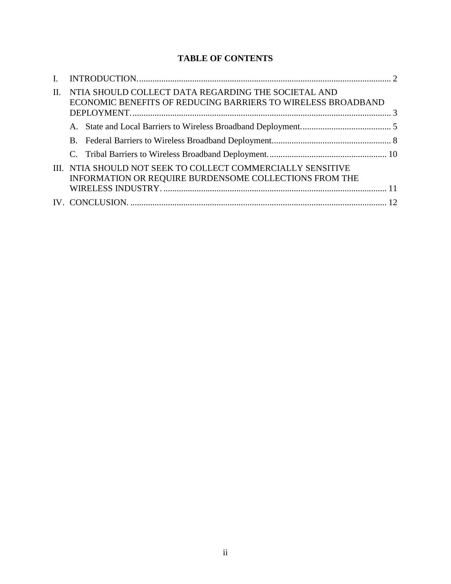# **TABLE OF CONTENTS**

| $\mathbf{I}$ |                                                                                                                       |  |
|--------------|-----------------------------------------------------------------------------------------------------------------------|--|
| $\Pi$ .      | NTIA SHOULD COLLECT DATA REGARDING THE SOCIETAL AND<br>ECONOMIC BENEFITS OF REDUCING BARRIERS TO WIRELESS BROADBAND   |  |
|              |                                                                                                                       |  |
|              |                                                                                                                       |  |
|              |                                                                                                                       |  |
|              | III. NTIA SHOULD NOT SEEK TO COLLECT COMMERCIALLY SENSITIVE<br>INFORMATION OR REQUIRE BURDENSOME COLLECTIONS FROM THE |  |
|              |                                                                                                                       |  |
|              |                                                                                                                       |  |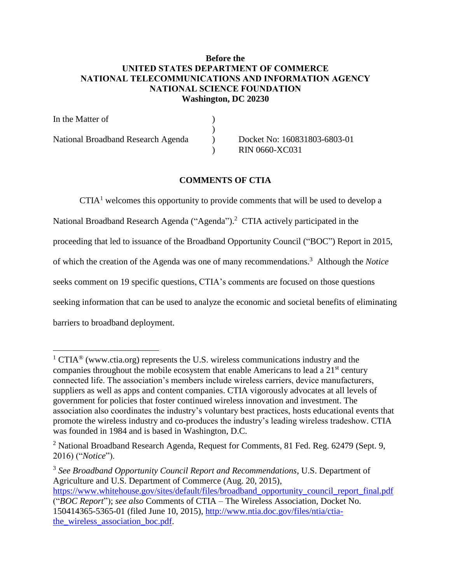# **Before the UNITED STATES DEPARTMENT OF COMMERCE NATIONAL TELECOMMUNICATIONS AND INFORMATION AGENCY NATIONAL SCIENCE FOUNDATION Washington, DC 20230**

In the Matter of  $\qquad \qquad$  )  $\lambda$ National Broadband Research Agenda (b) Docket No: 160831803-6803-01 ) RIN 0660-XC031

### **COMMENTS OF CTIA**

 $CTIA<sup>1</sup>$  welcomes this opportunity to provide comments that will be used to develop a National Broadband Research Agenda ("Agenda").<sup>2</sup> CTIA actively participated in the proceeding that led to issuance of the Broadband Opportunity Council ("BOC") Report in 2015, of which the creation of the Agenda was one of many recommendations.<sup>3</sup> Although the *Notice* seeks comment on 19 specific questions, CTIA's comments are focused on those questions seeking information that can be used to analyze the economic and societal benefits of eliminating barriers to broadband deployment.

 $1$  CTIA<sup>®</sup> [\(www.ctia.org\)](http://www.ctia.org/) represents the U.S. wireless communications industry and the companies throughout the mobile ecosystem that enable Americans to lead a  $21<sup>st</sup>$  century connected life. The association's members include wireless carriers, device manufacturers, suppliers as well as apps and content companies. CTIA vigorously advocates at all levels of government for policies that foster continued wireless innovation and investment. The association also coordinates the industry's voluntary best practices, hosts educational events that promote the wireless industry and co-produces the industry's leading wireless tradeshow. CTIA was founded in 1984 and is based in Washington, D.C*.*

<sup>&</sup>lt;sup>2</sup> National Broadband Research Agenda, Request for Comments, 81 Fed. Reg.  $62479$  (Sept. 9, 2016) ("*Notice*").

<sup>3</sup> *See Broadband Opportunity Council Report and Recommendations*, U.S. Department of Agriculture and U.S. Department of Commerce (Aug. 20, 2015),

[https://www.whitehouse.gov/sites/default/files/broadband\\_opportunity\\_council\\_report\\_final.pdf](https://www.whitehouse.gov/sites/default/files/broadband_opportunity_council_report_final.pdf) ("*BOC Report*"); *see also* Comments of CTIA – The Wireless Association, Docket No.

<sup>150414365-5365-01 (</sup>filed June 10, 2015), [http://www.ntia.doc.gov/files/ntia/ctia](http://www.ntia.doc.gov/files/ntia/ctia-the_wireless_association_boc.pdf)the wireless association boc.pdf.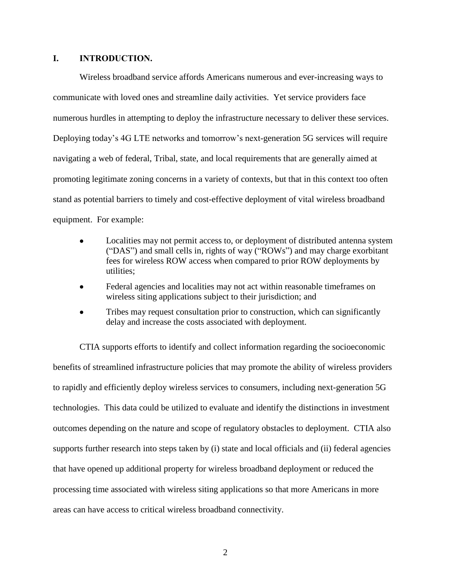#### <span id="page-3-0"></span>**I. INTRODUCTION.**

Wireless broadband service affords Americans numerous and ever-increasing ways to communicate with loved ones and streamline daily activities. Yet service providers face numerous hurdles in attempting to deploy the infrastructure necessary to deliver these services. Deploying today's 4G LTE networks and tomorrow's next-generation 5G services will require navigating a web of federal, Tribal, state, and local requirements that are generally aimed at promoting legitimate zoning concerns in a variety of contexts, but that in this context too often stand as potential barriers to timely and cost-effective deployment of vital wireless broadband equipment. For example:

- Localities may not permit access to, or deployment of distributed antenna system ("DAS") and small cells in, rights of way ("ROWs") and may charge exorbitant fees for wireless ROW access when compared to prior ROW deployments by utilities;
- Federal agencies and localities may not act within reasonable timeframes on wireless siting applications subject to their jurisdiction; and
- Tribes may request consultation prior to construction, which can significantly delay and increase the costs associated with deployment.

CTIA supports efforts to identify and collect information regarding the socioeconomic benefits of streamlined infrastructure policies that may promote the ability of wireless providers to rapidly and efficiently deploy wireless services to consumers, including next-generation 5G technologies. This data could be utilized to evaluate and identify the distinctions in investment outcomes depending on the nature and scope of regulatory obstacles to deployment. CTIA also supports further research into steps taken by (i) state and local officials and (ii) federal agencies that have opened up additional property for wireless broadband deployment or reduced the processing time associated with wireless siting applications so that more Americans in more areas can have access to critical wireless broadband connectivity.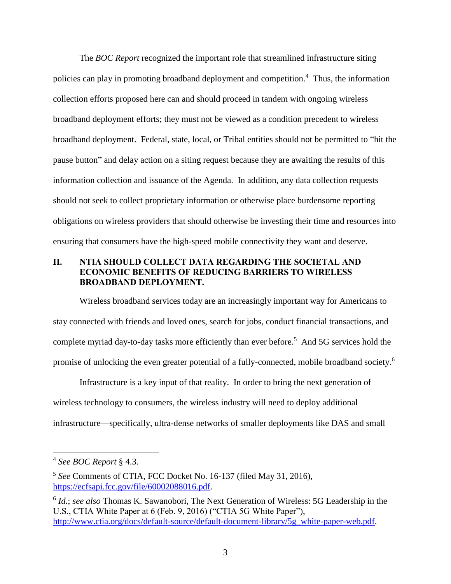The *BOC Report* recognized the important role that streamlined infrastructure siting policies can play in promoting broadband deployment and competition.<sup>4</sup> Thus, the information collection efforts proposed here can and should proceed in tandem with ongoing wireless broadband deployment efforts; they must not be viewed as a condition precedent to wireless broadband deployment. Federal, state, local, or Tribal entities should not be permitted to "hit the pause button" and delay action on a siting request because they are awaiting the results of this information collection and issuance of the Agenda. In addition, any data collection requests should not seek to collect proprietary information or otherwise place burdensome reporting obligations on wireless providers that should otherwise be investing their time and resources into ensuring that consumers have the high-speed mobile connectivity they want and deserve.

# <span id="page-4-0"></span>**II. NTIA SHOULD COLLECT DATA REGARDING THE SOCIETAL AND ECONOMIC BENEFITS OF REDUCING BARRIERS TO WIRELESS BROADBAND DEPLOYMENT.**

Wireless broadband services today are an increasingly important way for Americans to stay connected with friends and loved ones, search for jobs, conduct financial transactions, and complete myriad day-to-day tasks more efficiently than ever before.<sup>5</sup> And 5G services hold the promise of unlocking the even greater potential of a fully-connected, mobile broadband society.<sup>6</sup>

Infrastructure is a key input of that reality. In order to bring the next generation of wireless technology to consumers, the wireless industry will need to deploy additional infrastructure—specifically, ultra-dense networks of smaller deployments like DAS and small

<sup>4</sup> *See BOC Report* § 4.3.

<sup>5</sup> *See* Comments of CTIA, FCC Docket No. 16-137 (filed May 31, 2016), [https://ecfsapi.fcc.gov/file/60002088016.pdf.](https://ecfsapi.fcc.gov/file/60002088016.pdf)

<sup>6</sup> *Id*.; *see also* Thomas K. Sawanobori, The Next Generation of Wireless: 5G Leadership in the U.S., CTIA White Paper at 6 (Feb. 9, 2016) ("CTIA 5G White Paper"), [http://www.ctia.org/docs/default-source/default-document-library/5g\\_white-paper-web.pdf.](http://www.ctia.org/docs/default-source/default-document-library/5g_white-paper-web.pdf)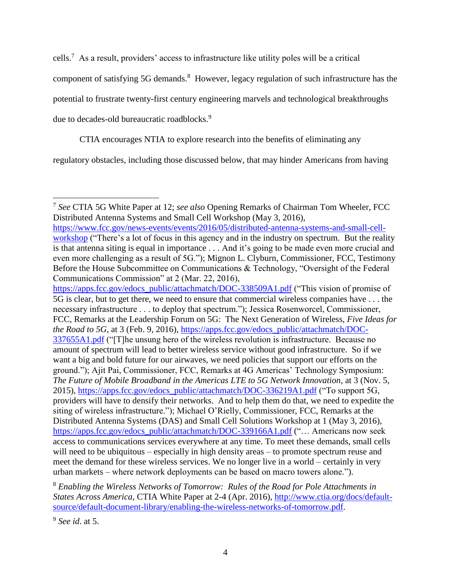cells.<sup>7</sup> As a result, providers' access to infrastructure like utility poles will be a critical

component of satisfying 5G demands.<sup>8</sup> However, legacy regulation of such infrastructure has the

potential to frustrate twenty-first century engineering marvels and technological breakthroughs

due to decades-old bureaucratic roadblocks.<sup>9</sup>

CTIA encourages NTIA to explore research into the benefits of eliminating any

regulatory obstacles, including those discussed below, that may hinder Americans from having

 $\overline{a}$ 7 *See* CTIA 5G White Paper at 12; *see also* Opening Remarks of Chairman Tom Wheeler, FCC Distributed Antenna Systems and Small Cell Workshop (May 3, 2016),

[https://www.fcc.gov/news-events/events/2016/05/distributed-antenna-systems-and-small-cell](https://www.fcc.gov/news-events/events/2016/05/distributed-antenna-systems-and-small-cell-workshop)[workshop](https://www.fcc.gov/news-events/events/2016/05/distributed-antenna-systems-and-small-cell-workshop) ("There's a lot of focus in this agency and in the industry on spectrum. But the reality is that antenna siting is equal in importance . . . And it's going to be made even more crucial and even more challenging as a result of 5G."); Mignon L. Clyburn, Commissioner, FCC, Testimony Before the House Subcommittee on Communications & Technology, "Oversight of the Federal Communications Commission" at 2 (Mar. 22, 2016),

[https://apps.fcc.gov/edocs\\_public/attachmatch/DOC-338509A1.pdf](https://apps.fcc.gov/edocs_public/attachmatch/DOC-338509A1.pdf) ("This vision of promise of 5G is clear, but to get there, we need to ensure that commercial wireless companies have . . . the necessary infrastructure . . . to deploy that spectrum."); Jessica Rosenworcel, Commissioner, FCC, Remarks at the Leadership Forum on 5G: The Next Generation of Wireless, *Five Ideas for the Road to 5G*, at 3 (Feb. 9, 2016), [https://apps.fcc.gov/edocs\\_public/attachmatch/DOC-](https://apps.fcc.gov/edocs_public/attachmatch/DOC-337655A1.pdf)[337655A1.pdf](https://apps.fcc.gov/edocs_public/attachmatch/DOC-337655A1.pdf) ("[T]he unsung hero of the wireless revolution is infrastructure. Because no amount of spectrum will lead to better wireless service without good infrastructure. So if we want a big and bold future for our airwaves, we need policies that support our efforts on the ground."); Ajit Pai, Commissioner, FCC, Remarks at 4G Americas' Technology Symposium: *The Future of Mobile Broadband in the Americas LTE to 5G Network Innovation*, at 3 (Nov. 5, 2015), [https://apps.fcc.gov/edocs\\_public/attachmatch/DOC-336219A1.pdf](https://apps.fcc.gov/edocs_public/attachmatch/DOC-336219A1.pdf) ("To support 5G, providers will have to densify their networks. And to help them do that, we need to expedite the siting of wireless infrastructure."); Michael O'Rielly, Commissioner, FCC, Remarks at the Distributed Antenna Systems (DAS) and Small Cell Solutions Workshop at 1 (May 3, 2016), [https://apps.fcc.gov/edocs\\_public/attachmatch/DOC-339166A1.pdf](https://apps.fcc.gov/edocs_public/attachmatch/DOC-339166A1.pdf) ("… Americans now seek access to communications services everywhere at any time. To meet these demands, small cells will need to be ubiquitous – especially in high density areas – to promote spectrum reuse and meet the demand for these wireless services. We no longer live in a world – certainly in very urban markets – where network deployments can be based on macro towers alone.").

<sup>8</sup> *Enabling the Wireless Networks of Tomorrow: Rules of the Road for Pole Attachments in States Across America*, CTIA White Paper at 2-4 (Apr. 2016), [http://www.ctia.org/docs/default](http://www.ctia.org/docs/default-source/default-document-library/enabling-the-wireless-networks-of-tomorrow.pdf)[source/default-document-library/enabling-the-wireless-networks-of-tomorrow.pdf.](http://www.ctia.org/docs/default-source/default-document-library/enabling-the-wireless-networks-of-tomorrow.pdf)

<sup>9</sup> *See id*. at 5.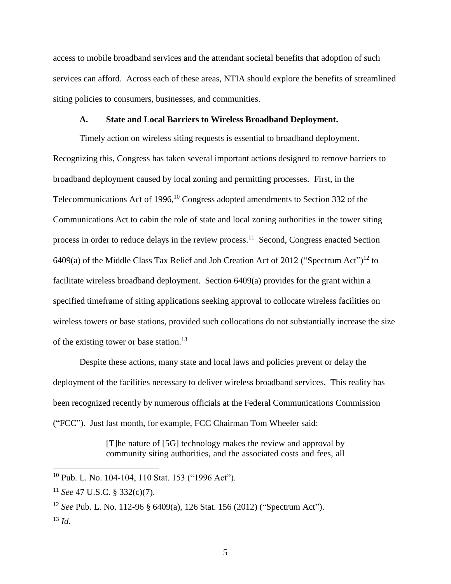access to mobile broadband services and the attendant societal benefits that adoption of such services can afford. Across each of these areas, NTIA should explore the benefits of streamlined siting policies to consumers, businesses, and communities.

#### **A. State and Local Barriers to Wireless Broadband Deployment.**

<span id="page-6-0"></span>Timely action on wireless siting requests is essential to broadband deployment. Recognizing this, Congress has taken several important actions designed to remove barriers to broadband deployment caused by local zoning and permitting processes. First, in the Telecommunications Act of 1996, $10$  Congress adopted amendments to Section 332 of the Communications Act to cabin the role of state and local zoning authorities in the tower siting process in order to reduce delays in the review process.<sup>11</sup> Second, Congress enacted Section  $6409(a)$  of the Middle Class Tax Relief and Job Creation Act of 2012 ("Spectrum Act")<sup>12</sup> to facilitate wireless broadband deployment. Section 6409(a) provides for the grant within a specified timeframe of siting applications seeking approval to collocate wireless facilities on wireless towers or base stations, provided such collocations do not substantially increase the size of the existing tower or base station.<sup>13</sup>

Despite these actions, many state and local laws and policies prevent or delay the deployment of the facilities necessary to deliver wireless broadband services. This reality has been recognized recently by numerous officials at the Federal Communications Commission ("FCC"). Just last month, for example, FCC Chairman Tom Wheeler said:

> [T]he nature of [5G] technology makes the review and approval by community siting authorities, and the associated costs and fees, all

<sup>10</sup> Pub. L. No. 104-104, 110 Stat. 153 ("1996 Act").

<sup>11</sup> *See* 47 U.S.C. § 332(c)(7).

<sup>12</sup> *See* Pub. L. No. 112-96 § 6409(a), 126 Stat. 156 (2012) ("Spectrum Act").  $^{13}$  *Id.*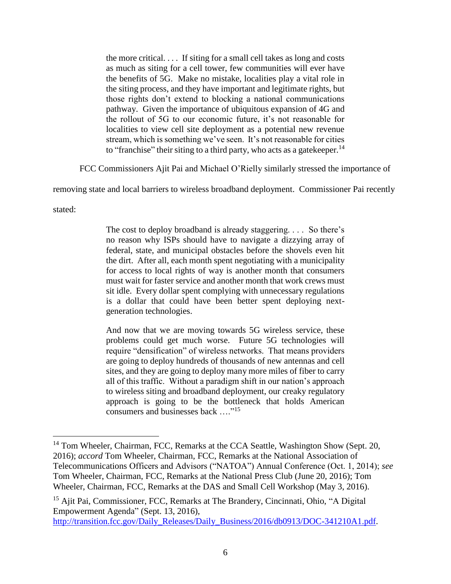the more critical. . . . If siting for a small cell takes as long and costs as much as siting for a cell tower, few communities will ever have the benefits of 5G. Make no mistake, localities play a vital role in the siting process, and they have important and legitimate rights, but those rights don't extend to blocking a national communications pathway. Given the importance of ubiquitous expansion of 4G and the rollout of 5G to our economic future, it's not reasonable for localities to view cell site deployment as a potential new revenue stream, which is something we've seen. It's not reasonable for cities to "franchise" their siting to a third party, who acts as a gatekeeper. $14$ 

FCC Commissioners Ajit Pai and Michael O'Rielly similarly stressed the importance of

removing state and local barriers to wireless broadband deployment. Commissioner Pai recently

stated:

 $\overline{a}$ 

The cost to deploy broadband is already staggering. . . . So there's no reason why ISPs should have to navigate a dizzying array of federal, state, and municipal obstacles before the shovels even hit the dirt. After all, each month spent negotiating with a municipality for access to local rights of way is another month that consumers must wait for faster service and another month that work crews must sit idle. Every dollar spent complying with unnecessary regulations is a dollar that could have been better spent deploying nextgeneration technologies.

And now that we are moving towards 5G wireless service, these problems could get much worse. Future 5G technologies will require "densification" of wireless networks. That means providers are going to deploy hundreds of thousands of new antennas and cell sites, and they are going to deploy many more miles of fiber to carry all of this traffic. Without a paradigm shift in our nation's approach to wireless siting and broadband deployment, our creaky regulatory approach is going to be the bottleneck that holds American consumers and businesses back …."<sup>15</sup>

<sup>&</sup>lt;sup>14</sup> Tom Wheeler, Chairman, FCC, Remarks at the CCA Seattle, Washington Show (Sept. 20, 2016); *accord* Tom Wheeler, Chairman, FCC, Remarks at the National Association of Telecommunications Officers and Advisors ("NATOA") Annual Conference (Oct. 1, 2014); *see*  Tom Wheeler, Chairman, FCC, Remarks at the National Press Club (June 20, 2016); Tom Wheeler, Chairman, FCC, Remarks at the DAS and Small Cell Workshop (May 3, 2016).

<sup>&</sup>lt;sup>15</sup> Ajit Pai, Commissioner, FCC, Remarks at The Brandery, Cincinnati, Ohio, "A Digital Empowerment Agenda" (Sept. 13, 2016),

[http://transition.fcc.gov/Daily\\_Releases/Daily\\_Business/2016/db0913/DOC-341210A1.pdf.](http://transition.fcc.gov/Daily_Releases/Daily_Business/2016/db0913/DOC-341210A1.pdf)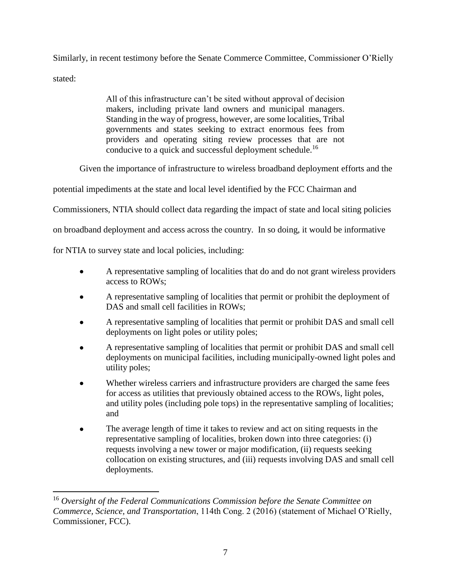Similarly, in recent testimony before the Senate Commerce Committee, Commissioner O'Rielly stated:

> All of this infrastructure can't be sited without approval of decision makers, including private land owners and municipal managers. Standing in the way of progress, however, are some localities, Tribal governments and states seeking to extract enormous fees from providers and operating siting review processes that are not conducive to a quick and successful deployment schedule.<sup>16</sup>

Given the importance of infrastructure to wireless broadband deployment efforts and the

potential impediments at the state and local level identified by the FCC Chairman and

Commissioners, NTIA should collect data regarding the impact of state and local siting policies

on broadband deployment and access across the country. In so doing, it would be informative

for NTIA to survey state and local policies, including:

- A representative sampling of localities that do and do not grant wireless providers access to ROWs;
- A representative sampling of localities that permit or prohibit the deployment of DAS and small cell facilities in ROWs;
- A representative sampling of localities that permit or prohibit DAS and small cell deployments on light poles or utility poles;
- A representative sampling of localities that permit or prohibit DAS and small cell deployments on municipal facilities, including municipally-owned light poles and utility poles;
- Whether wireless carriers and infrastructure providers are charged the same fees for access as utilities that previously obtained access to the ROWs, light poles, and utility poles (including pole tops) in the representative sampling of localities; and
- The average length of time it takes to review and act on siting requests in the representative sampling of localities, broken down into three categories: (i) requests involving a new tower or major modification, (ii) requests seeking collocation on existing structures, and (iii) requests involving DAS and small cell deployments.

<sup>16</sup> *Oversight of the Federal Communications Commission before the Senate Committee on Commerce, Science, and Transportation*, 114th Cong. 2 (2016) (statement of Michael O'Rielly, Commissioner, FCC).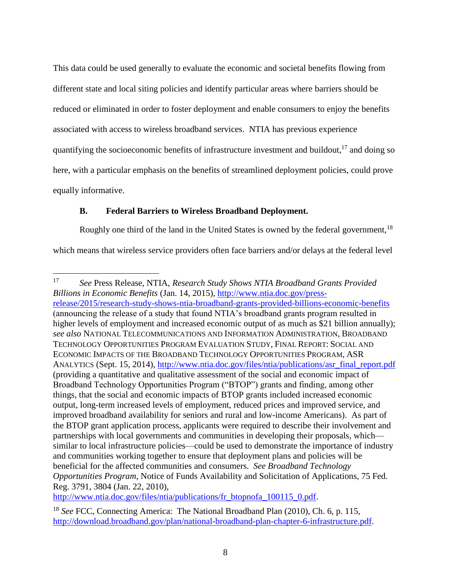This data could be used generally to evaluate the economic and societal benefits flowing from different state and local siting policies and identify particular areas where barriers should be reduced or eliminated in order to foster deployment and enable consumers to enjoy the benefits associated with access to wireless broadband services. NTIA has previous experience quantifying the socioeconomic benefits of infrastructure investment and buildout, $^{17}$  and doing so here, with a particular emphasis on the benefits of streamlined deployment policies, could prove equally informative.

# <span id="page-9-0"></span>**B. Federal Barriers to Wireless Broadband Deployment.**

 $\overline{a}$ 

Roughly one third of the land in the United States is owned by the federal government,  $18$ 

which means that wireless service providers often face barriers and/or delays at the federal level

[http://www.ntia.doc.gov/files/ntia/publications/fr\\_btopnofa\\_100115\\_0.pdf.](http://www.ntia.doc.gov/files/ntia/publications/fr_btopnofa_100115_0.pdf)

<sup>17</sup> *See* Press Release, NTIA, *Research Study Shows NTIA Broadband Grants Provided Billions in Economic Benefits* (Jan. 14, 2015), [http://www.ntia.doc.gov/press](http://www.ntia.doc.gov/press-release/2015/research-study-shows-ntia-broadband-grants-provided-billions-economic-benefits)[release/2015/research-study-shows-ntia-broadband-grants-provided-billions-economic-benefits](http://www.ntia.doc.gov/press-release/2015/research-study-shows-ntia-broadband-grants-provided-billions-economic-benefits) (announcing the release of a study that found NTIA's broadband grants program resulted in higher levels of employment and increased economic output of as much as \$21 billion annually); *see also* NATIONAL TELECOMMUNICATIONS AND INFORMATION ADMINISTRATION, BROADBAND TECHNOLOGY OPPORTUNITIES PROGRAM EVALUATION STUDY, FINAL REPORT: SOCIAL AND ECONOMIC IMPACTS OF THE BROADBAND TECHNOLOGY OPPORTUNITIES PROGRAM, ASR ANALYTICS (Sept. 15, 2014), [http://www.ntia.doc.gov/files/ntia/publications/asr\\_final\\_report.pdf](http://www.ntia.doc.gov/files/ntia/publications/asr_final_report.pdf) (providing a quantitative and qualitative assessment of the social and economic impact of Broadband Technology Opportunities Program ("BTOP") grants and finding, among other things, that the social and economic impacts of BTOP grants included increased economic output, long-term increased levels of employment, reduced prices and improved service, and improved broadband availability for seniors and rural and low-income Americans). As part of the BTOP grant application process, applicants were required to describe their involvement and partnerships with local governments and communities in developing their proposals, which similar to local infrastructure policies—could be used to demonstrate the importance of industry and communities working together to ensure that deployment plans and policies will be beneficial for the affected communities and consumers. *See Broadband Technology Opportunities Program*, Notice of Funds Availability and Solicitation of Applications, 75 Fed. Reg. 3791, 3804 (Jan. 22, 2010),

<sup>18</sup> *See* FCC, Connecting America: The National Broadband Plan (2010), Ch. 6, p. 115, [http://download.broadband.gov/plan/national-broadband-plan-chapter-6-infrastructure.pdf.](http://download.broadband.gov/plan/national-broadband-plan-chapter-6-infrastructure.pdf)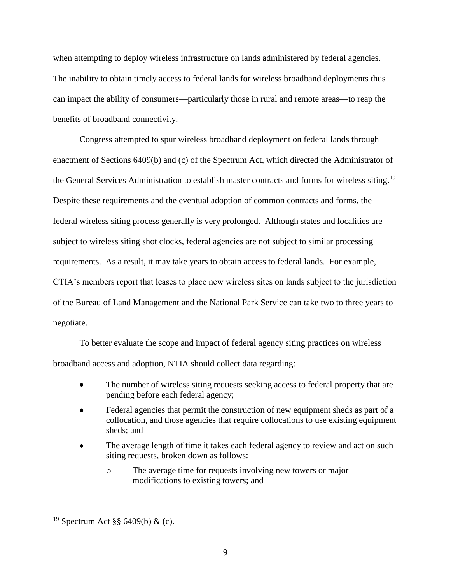when attempting to deploy wireless infrastructure on lands administered by federal agencies. The inability to obtain timely access to federal lands for wireless broadband deployments thus can impact the ability of consumers—particularly those in rural and remote areas—to reap the benefits of broadband connectivity.

Congress attempted to spur wireless broadband deployment on federal lands through enactment of Sections 6409(b) and (c) of the Spectrum Act, which directed the Administrator of the General Services Administration to establish master contracts and forms for wireless siting.<sup>19</sup> Despite these requirements and the eventual adoption of common contracts and forms, the federal wireless siting process generally is very prolonged. Although states and localities are subject to wireless siting shot clocks, federal agencies are not subject to similar processing requirements. As a result, it may take years to obtain access to federal lands. For example, CTIA's members report that leases to place new wireless sites on lands subject to the jurisdiction of the Bureau of Land Management and the National Park Service can take two to three years to negotiate.

To better evaluate the scope and impact of federal agency siting practices on wireless broadband access and adoption, NTIA should collect data regarding:

- The number of wireless siting requests seeking access to federal property that are pending before each federal agency;
- Federal agencies that permit the construction of new equipment sheds as part of a collocation, and those agencies that require collocations to use existing equipment sheds; and
- The average length of time it takes each federal agency to review and act on such siting requests, broken down as follows:
	- o The average time for requests involving new towers or major modifications to existing towers; and

<sup>&</sup>lt;sup>19</sup> Spectrum Act §§ 6409(b) & (c).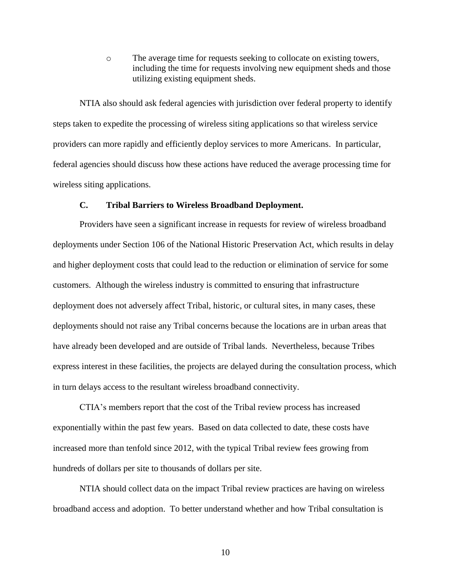o The average time for requests seeking to collocate on existing towers, including the time for requests involving new equipment sheds and those utilizing existing equipment sheds.

NTIA also should ask federal agencies with jurisdiction over federal property to identify steps taken to expedite the processing of wireless siting applications so that wireless service providers can more rapidly and efficiently deploy services to more Americans. In particular, federal agencies should discuss how these actions have reduced the average processing time for wireless siting applications.

#### **C. Tribal Barriers to Wireless Broadband Deployment.**

<span id="page-11-0"></span>Providers have seen a significant increase in requests for review of wireless broadband deployments under Section 106 of the National Historic Preservation Act, which results in delay and higher deployment costs that could lead to the reduction or elimination of service for some customers. Although the wireless industry is committed to ensuring that infrastructure deployment does not adversely affect Tribal, historic, or cultural sites, in many cases, these deployments should not raise any Tribal concerns because the locations are in urban areas that have already been developed and are outside of Tribal lands. Nevertheless, because Tribes express interest in these facilities, the projects are delayed during the consultation process, which in turn delays access to the resultant wireless broadband connectivity.

CTIA's members report that the cost of the Tribal review process has increased exponentially within the past few years. Based on data collected to date, these costs have increased more than tenfold since 2012, with the typical Tribal review fees growing from hundreds of dollars per site to thousands of dollars per site.

NTIA should collect data on the impact Tribal review practices are having on wireless broadband access and adoption. To better understand whether and how Tribal consultation is

10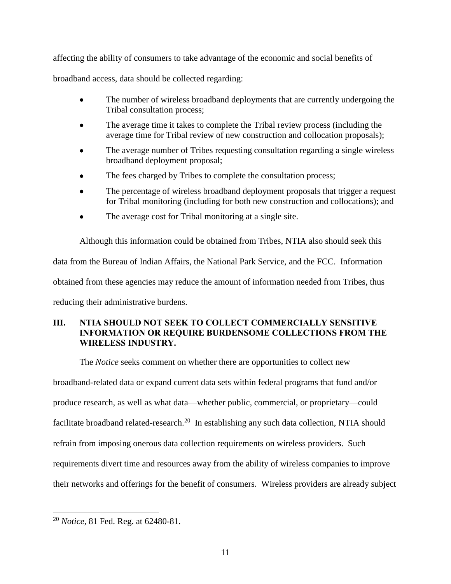affecting the ability of consumers to take advantage of the economic and social benefits of

broadband access, data should be collected regarding:

- The number of wireless broadband deployments that are currently undergoing the Tribal consultation process;
- The average time it takes to complete the Tribal review process (including the average time for Tribal review of new construction and collocation proposals);
- The average number of Tribes requesting consultation regarding a single wireless broadband deployment proposal;
- The fees charged by Tribes to complete the consultation process;
- The percentage of wireless broadband deployment proposals that trigger a request for Tribal monitoring (including for both new construction and collocations); and
- The average cost for Tribal monitoring at a single site.

Although this information could be obtained from Tribes, NTIA also should seek this data from the Bureau of Indian Affairs, the National Park Service, and the FCC. Information obtained from these agencies may reduce the amount of information needed from Tribes, thus reducing their administrative burdens.

## <span id="page-12-0"></span>**III. NTIA SHOULD NOT SEEK TO COLLECT COMMERCIALLY SENSITIVE INFORMATION OR REQUIRE BURDENSOME COLLECTIONS FROM THE WIRELESS INDUSTRY.**

The *Notice* seeks comment on whether there are opportunities to collect new

broadband-related data or expand current data sets within federal programs that fund and/or produce research, as well as what data—whether public, commercial, or proprietary—could facilitate broadband related-research.<sup>20</sup> In establishing any such data collection, NTIA should refrain from imposing onerous data collection requirements on wireless providers. Such requirements divert time and resources away from the ability of wireless companies to improve their networks and offerings for the benefit of consumers. Wireless providers are already subject

<sup>20</sup> *Notice*, 81 Fed. Reg. at 62480-81.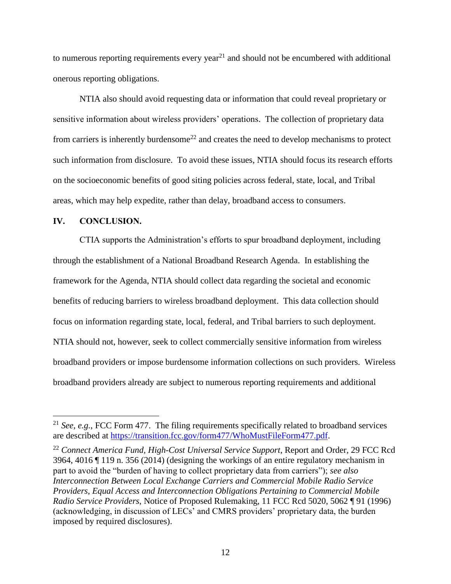to numerous reporting requirements every year<sup>21</sup> and should not be encumbered with additional onerous reporting obligations.

NTIA also should avoid requesting data or information that could reveal proprietary or sensitive information about wireless providers' operations. The collection of proprietary data from carriers is inherently burdensome<sup>22</sup> and creates the need to develop mechanisms to protect such information from disclosure. To avoid these issues, NTIA should focus its research efforts on the socioeconomic benefits of good siting policies across federal, state, local, and Tribal areas, which may help expedite, rather than delay, broadband access to consumers.

## <span id="page-13-0"></span>**IV. CONCLUSION.**

 $\overline{a}$ 

CTIA supports the Administration's efforts to spur broadband deployment, including through the establishment of a National Broadband Research Agenda. In establishing the framework for the Agenda, NTIA should collect data regarding the societal and economic benefits of reducing barriers to wireless broadband deployment. This data collection should focus on information regarding state, local, federal, and Tribal barriers to such deployment. NTIA should not, however, seek to collect commercially sensitive information from wireless broadband providers or impose burdensome information collections on such providers. Wireless broadband providers already are subject to numerous reporting requirements and additional

<sup>21</sup> *See, e.g.*, FCC Form 477. The filing requirements specifically related to broadband services are described at [https://transition.fcc.gov/form477/WhoMustFileForm477.pdf.](https://transition.fcc.gov/form477/WhoMustFileForm477.pdf)

<sup>22</sup> *Connect America Fund, High-Cost Universal Service Support*, Report and Order, 29 FCC Rcd 3964, 4016 ¶ 119 n. 356 (2014) (designing the workings of an entire regulatory mechanism in part to avoid the "burden of having to collect proprietary data from carriers"); *see also Interconnection Between Local Exchange Carriers and Commercial Mobile Radio Service Providers, Equal Access and Interconnection Obligations Pertaining to Commercial Mobile Radio Service Providers*, Notice of Proposed Rulemaking, 11 FCC Rcd 5020, 5062 ¶ 91 (1996) (acknowledging, in discussion of LECs' and CMRS providers' proprietary data, the burden imposed by required disclosures).